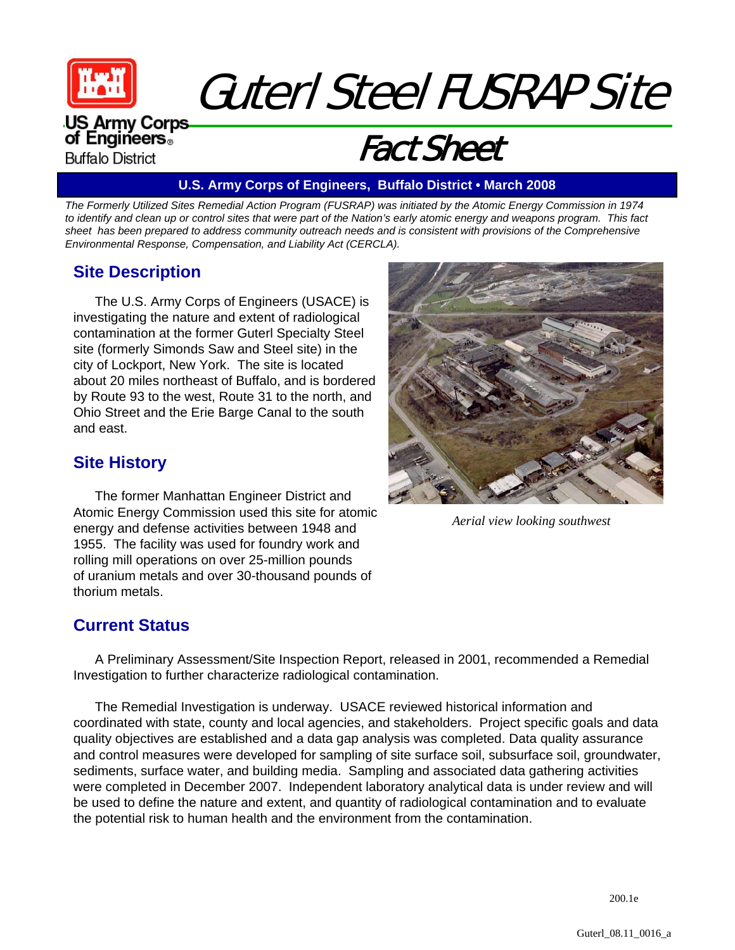

# Guterl Steel FUSRAP Site

#### **US Army Corps** of Engineers. **Buffalo District**

## Fact Sheet

#### **U.S. Army Corps of Engineers, Buffalo District • March 2008**

*The Formerly Utilized Sites Remedial Action Program (FUSRAP) was initiated by the Atomic Energy Commission in 1974 to identify and clean up or control sites that were part of the Nation's early atomic energy and weapons program. This fact sheet has been prepared to address community outreach needs and is consistent with provisions of the Comprehensive Environmental Response, Compensation, and Liability Act (CERCLA).* 

#### **Site Description**

The U.S. Army Corps of Engineers (USACE) is investigating the nature and extent of radiological contamination at the former Guterl Specialty Steel site (formerly Simonds Saw and Steel site) in the city of Lockport, New York. The site is located about 20 miles northeast of Buffalo, and is bordered by Route 93 to the west, Route 31 to the north, and Ohio Street and the Erie Barge Canal to the south and east.

#### **Site History**

The former Manhattan Engineer District and Atomic Energy Commission used this site for atomic energy and defense activities between 1948 and 1955. The facility was used for foundry work and rolling mill operations on over 25-million pounds of uranium metals and over 30-thousand pounds of thorium metals.



*Aerial view looking southwest*

#### **Current Status**

A Preliminary Assessment/Site Inspection Report, released in 2001, recommended a Remedial Investigation to further characterize radiological contamination.

The Remedial Investigation is underway. USACE reviewed historical information and coordinated with state, county and local agencies, and stakeholders. Project specific goals and data quality objectives are established and a data gap analysis was completed. Data quality assurance and control measures were developed for sampling of site surface soil, subsurface soil, groundwater, sediments, surface water, and building media. Sampling and associated data gathering activities were completed in December 2007. Independent laboratory analytical data is under review and will be used to define the nature and extent, and quantity of radiological contamination and to evaluate the potential risk to human health and the environment from the contamination.